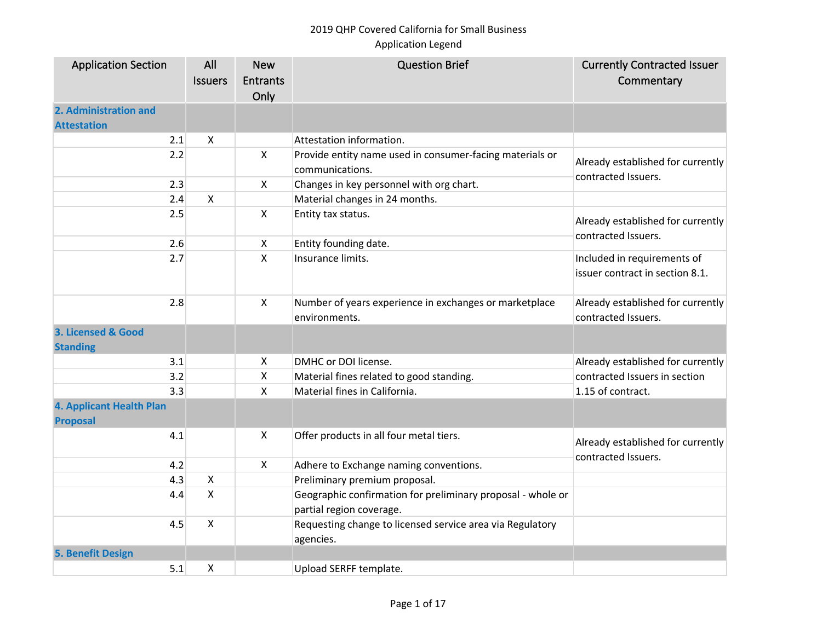| <b>Application Section</b>      | All            | <b>New</b>      | <b>Question Brief</b>                                       | <b>Currently Contracted Issuer</b>                       |
|---------------------------------|----------------|-----------------|-------------------------------------------------------------|----------------------------------------------------------|
|                                 | <b>Issuers</b> | <b>Entrants</b> |                                                             | Commentary                                               |
|                                 |                | Only            |                                                             |                                                          |
| 2. Administration and           |                |                 |                                                             |                                                          |
| <b>Attestation</b>              |                |                 |                                                             |                                                          |
| 2.1                             | X              |                 | Attestation information.                                    |                                                          |
| 2.2                             |                | $\pmb{\times}$  | Provide entity name used in consumer-facing materials or    |                                                          |
|                                 |                |                 | communications.                                             | Already established for currently<br>contracted Issuers. |
| 2.3                             |                | X               | Changes in key personnel with org chart.                    |                                                          |
| 2.4                             | X              |                 | Material changes in 24 months.                              |                                                          |
| 2.5                             |                | $\mathsf{X}$    | Entity tax status.                                          |                                                          |
|                                 |                |                 |                                                             | Already established for currently<br>contracted Issuers. |
| 2.6                             |                | X               | Entity founding date.                                       |                                                          |
| 2.7                             |                | Χ               | Insurance limits.                                           | Included in requirements of                              |
|                                 |                |                 |                                                             | issuer contract in section 8.1.                          |
|                                 |                |                 |                                                             |                                                          |
| 2.8                             |                | $\pmb{\times}$  | Number of years experience in exchanges or marketplace      | Already established for currently                        |
|                                 |                |                 | environments.                                               | contracted Issuers.                                      |
| 3. Licensed & Good              |                |                 |                                                             |                                                          |
| <b>Standing</b>                 |                |                 |                                                             |                                                          |
| 3.1                             |                | X               | DMHC or DOI license.                                        | Already established for currently                        |
| 3.2                             |                | $\pmb{\times}$  | Material fines related to good standing.                    | contracted Issuers in section                            |
| 3.3                             |                | $\pmb{\times}$  | Material fines in California.                               | 1.15 of contract.                                        |
| <b>4. Applicant Health Plan</b> |                |                 |                                                             |                                                          |
| <b>Proposal</b>                 |                |                 |                                                             |                                                          |
| 4.1                             |                | $\mathsf{x}$    | Offer products in all four metal tiers.                     | Already established for currently                        |
|                                 |                |                 |                                                             | contracted Issuers.                                      |
| 4.2                             |                | X               | Adhere to Exchange naming conventions.                      |                                                          |
| 4.3                             | X              |                 | Preliminary premium proposal.                               |                                                          |
| 4.4                             | $\mathsf{X}$   |                 | Geographic confirmation for preliminary proposal - whole or |                                                          |
|                                 |                |                 | partial region coverage.                                    |                                                          |
| 4.5                             | X              |                 | Requesting change to licensed service area via Regulatory   |                                                          |
|                                 |                |                 | agencies.                                                   |                                                          |
| <b>5. Benefit Design</b>        |                |                 |                                                             |                                                          |
| 5.1                             | X              |                 | Upload SERFF template.                                      |                                                          |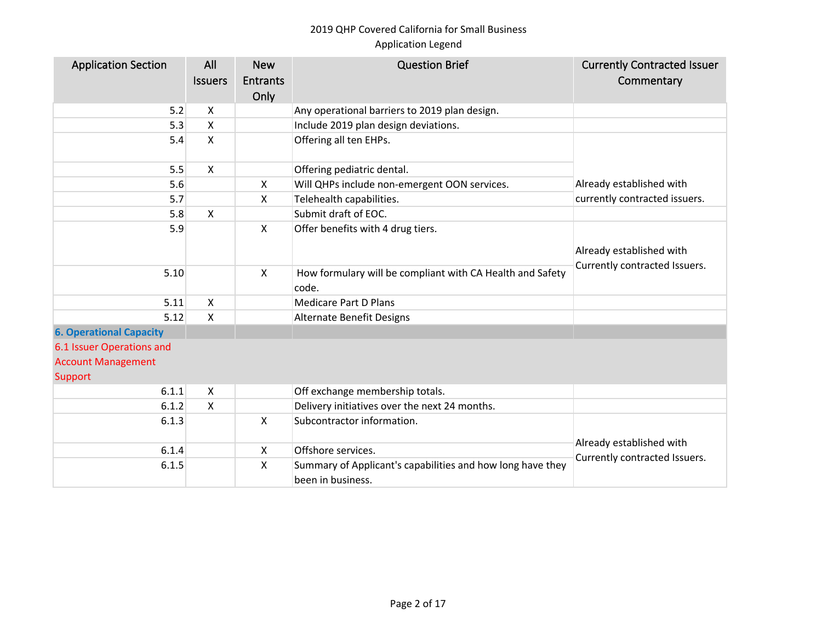| <b>Application Section</b>     | All<br><b>Issuers</b>     | <b>New</b><br>Entrants<br>Only | <b>Question Brief</b>                                                           | <b>Currently Contracted Issuer</b><br>Commentary |
|--------------------------------|---------------------------|--------------------------------|---------------------------------------------------------------------------------|--------------------------------------------------|
| 5.2                            | X                         |                                | Any operational barriers to 2019 plan design.                                   |                                                  |
| 5.3                            | X                         |                                | Include 2019 plan design deviations.                                            |                                                  |
| 5.4                            | $\boldsymbol{\mathsf{X}}$ |                                | Offering all ten EHPs.                                                          |                                                  |
| 5.5                            | $\mathsf{x}$              |                                | Offering pediatric dental.                                                      |                                                  |
| 5.6                            |                           | X                              | Will QHPs include non-emergent OON services.                                    | Already established with                         |
| 5.7                            |                           | $\mathsf{X}$                   | Telehealth capabilities.                                                        | currently contracted issuers.                    |
| 5.8                            | $\mathsf{X}$              |                                | Submit draft of EOC.                                                            |                                                  |
| 5.9                            |                           | $\mathsf{X}$                   | Offer benefits with 4 drug tiers.                                               | Already established with                         |
| 5.10                           |                           | X                              | How formulary will be compliant with CA Health and Safety<br>code.              | Currently contracted Issuers.                    |
| 5.11                           | $\boldsymbol{\mathsf{X}}$ |                                | <b>Medicare Part D Plans</b>                                                    |                                                  |
| 5.12                           | $\mathsf{x}$              |                                | <b>Alternate Benefit Designs</b>                                                |                                                  |
| <b>6. Operational Capacity</b> |                           |                                |                                                                                 |                                                  |
| 6.1 Issuer Operations and      |                           |                                |                                                                                 |                                                  |
| <b>Account Management</b>      |                           |                                |                                                                                 |                                                  |
| Support                        |                           |                                |                                                                                 |                                                  |
| 6.1.1                          | $\boldsymbol{\mathsf{X}}$ |                                | Off exchange membership totals.                                                 |                                                  |
| 6.1.2                          | X                         |                                | Delivery initiatives over the next 24 months.                                   |                                                  |
| 6.1.3                          |                           | $\mathsf{X}$                   | Subcontractor information.                                                      |                                                  |
| 6.1.4                          |                           | X                              | Offshore services.                                                              | Already established with                         |
| 6.1.5                          |                           | X                              | Summary of Applicant's capabilities and how long have they<br>been in business. | Currently contracted Issuers.                    |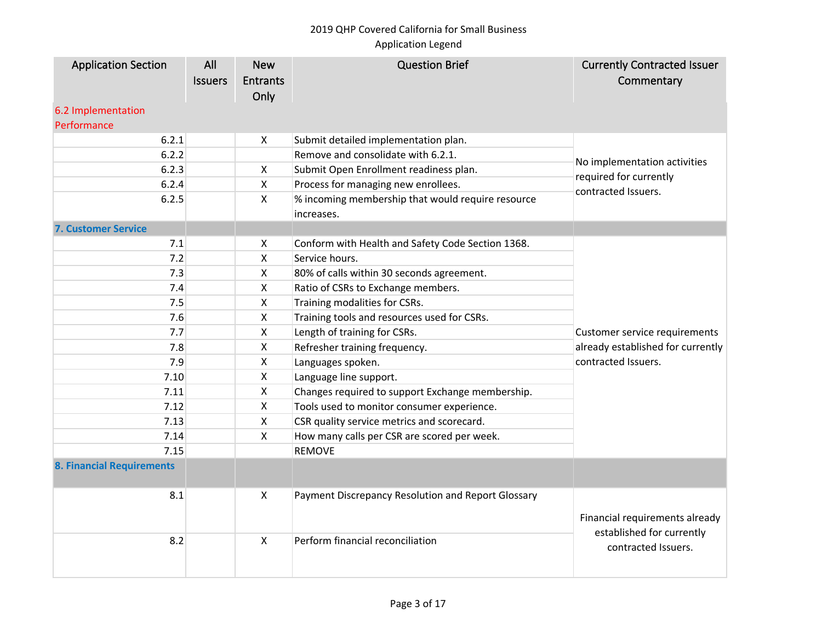| <b>Application Section</b>       | All            | <b>New</b>      | <b>Question Brief</b>                              | <b>Currently Contracted Issuer</b>               |
|----------------------------------|----------------|-----------------|----------------------------------------------------|--------------------------------------------------|
|                                  | <b>Issuers</b> | <b>Entrants</b> |                                                    | Commentary                                       |
|                                  |                | Only            |                                                    |                                                  |
| 6.2 Implementation               |                |                 |                                                    |                                                  |
| Performance                      |                |                 |                                                    |                                                  |
| 6.2.1                            |                | X               | Submit detailed implementation plan.               |                                                  |
| 6.2.2                            |                |                 | Remove and consolidate with 6.2.1.                 | No implementation activities                     |
| 6.2.3                            |                | X               | Submit Open Enrollment readiness plan.             | required for currently                           |
| 6.2.4                            |                | X               | Process for managing new enrollees.                | contracted Issuers.                              |
| 6.2.5                            |                | $\mathsf{X}$    | % incoming membership that would require resource  |                                                  |
|                                  |                |                 | increases.                                         |                                                  |
| <b>7. Customer Service</b>       |                |                 |                                                    |                                                  |
| 7.1                              |                | X               | Conform with Health and Safety Code Section 1368.  |                                                  |
| 7.2                              |                | X               | Service hours.                                     |                                                  |
| 7.3                              |                | Χ               | 80% of calls within 30 seconds agreement.          |                                                  |
| 7.4                              |                | X               | Ratio of CSRs to Exchange members.                 |                                                  |
| 7.5                              |                | X               | Training modalities for CSRs.                      |                                                  |
| 7.6                              |                | Χ               | Training tools and resources used for CSRs.        |                                                  |
| 7.7                              |                | Χ               | Length of training for CSRs.                       | Customer service requirements                    |
| 7.8                              |                | Χ               | Refresher training frequency.                      | already established for currently                |
| 7.9                              |                | Χ               | Languages spoken.                                  | contracted Issuers.                              |
| 7.10                             |                | Χ               | Language line support.                             |                                                  |
| 7.11                             |                | X               | Changes required to support Exchange membership.   |                                                  |
| 7.12                             |                | X               | Tools used to monitor consumer experience.         |                                                  |
| 7.13                             |                | X               | CSR quality service metrics and scorecard.         |                                                  |
| 7.14                             |                | Χ               | How many calls per CSR are scored per week.        |                                                  |
| 7.15                             |                |                 | <b>REMOVE</b>                                      |                                                  |
| <b>8. Financial Requirements</b> |                |                 |                                                    |                                                  |
| 8.1                              |                | X               | Payment Discrepancy Resolution and Report Glossary | Financial requirements already                   |
| 8.2                              |                | Χ               | Perform financial reconciliation                   | established for currently<br>contracted Issuers. |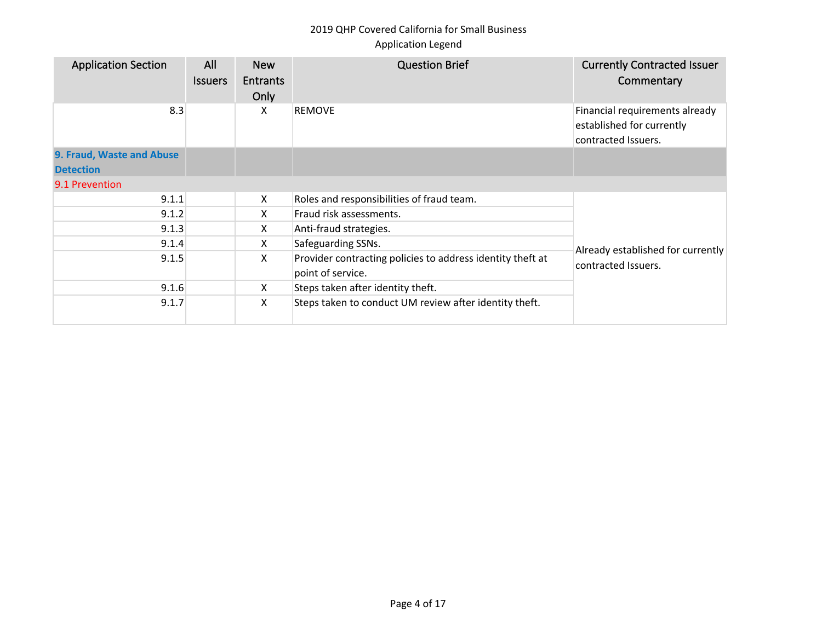| <b>Application Section</b> | All<br><b>Issuers</b> | <b>New</b><br><b>Entrants</b><br>Only | <b>Question Brief</b>                                                           | <b>Currently Contracted Issuer</b><br>Commentary                                   |
|----------------------------|-----------------------|---------------------------------------|---------------------------------------------------------------------------------|------------------------------------------------------------------------------------|
| 8.3                        |                       | X                                     | <b>REMOVE</b>                                                                   | Financial requirements already<br>established for currently<br>contracted Issuers. |
| 9. Fraud, Waste and Abuse  |                       |                                       |                                                                                 |                                                                                    |
| <b>Detection</b>           |                       |                                       |                                                                                 |                                                                                    |
| 9.1 Prevention             |                       |                                       |                                                                                 |                                                                                    |
| 9.1.1                      |                       | X                                     | Roles and responsibilities of fraud team.                                       |                                                                                    |
| 9.1.2                      |                       | X.                                    | Fraud risk assessments.                                                         |                                                                                    |
| 9.1.3                      |                       | X                                     | Anti-fraud strategies.                                                          |                                                                                    |
| 9.1.4                      |                       | X.                                    | Safeguarding SSNs.                                                              | Already established for currently                                                  |
| 9.1.5                      |                       | X                                     | Provider contracting policies to address identity theft at<br>point of service. | contracted Issuers.                                                                |
| 9.1.6                      |                       | X.                                    | Steps taken after identity theft.                                               |                                                                                    |
| 9.1.7                      |                       | Χ                                     | Steps taken to conduct UM review after identity theft.                          |                                                                                    |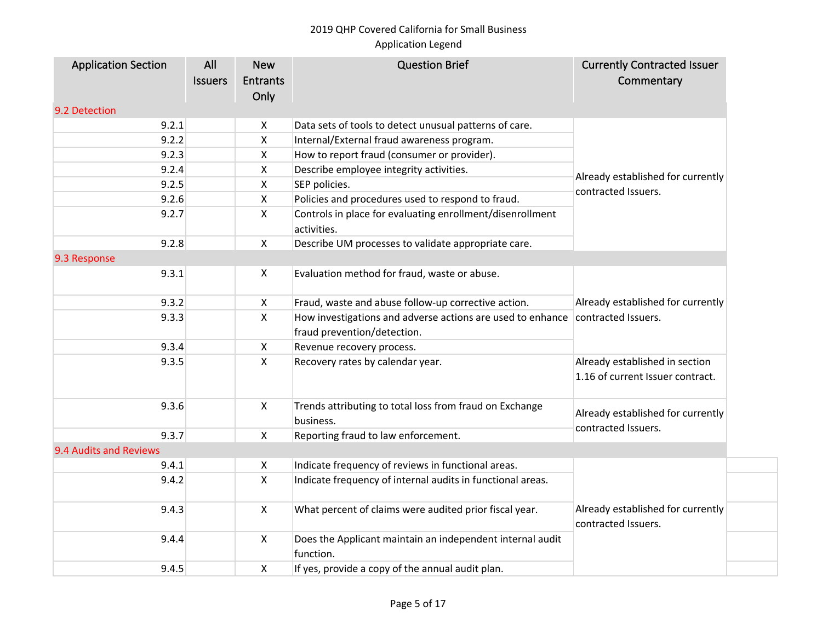# 2019 QHP Covered California for Small Business

## Application Legend

| <b>Application Section</b> | All            | <b>New</b>      | <b>Question Brief</b>                                                    | <b>Currently Contracted Issuer</b>                                 |  |
|----------------------------|----------------|-----------------|--------------------------------------------------------------------------|--------------------------------------------------------------------|--|
|                            | <b>Issuers</b> | <b>Entrants</b> |                                                                          | Commentary                                                         |  |
|                            |                | Only            |                                                                          |                                                                    |  |
| 9.2 Detection              |                |                 |                                                                          |                                                                    |  |
| 9.2.1                      |                | X               | Data sets of tools to detect unusual patterns of care.                   |                                                                    |  |
| 9.2.2                      |                | X               | Internal/External fraud awareness program.                               |                                                                    |  |
| 9.2.3                      |                | X               | How to report fraud (consumer or provider).                              |                                                                    |  |
| 9.2.4                      |                | X               | Describe employee integrity activities.                                  | Already established for currently                                  |  |
| 9.2.5                      |                | X               | SEP policies.                                                            | contracted Issuers.                                                |  |
| 9.2.6                      |                | X               | Policies and procedures used to respond to fraud.                        |                                                                    |  |
| 9.2.7                      |                | X               | Controls in place for evaluating enrollment/disenrollment<br>activities. |                                                                    |  |
| 9.2.8                      |                | X               | Describe UM processes to validate appropriate care.                      |                                                                    |  |
| 9.3 Response               |                |                 |                                                                          |                                                                    |  |
| 9.3.1                      |                | X               | Evaluation method for fraud, waste or abuse.                             | Already established for currently<br>contracted Issuers.           |  |
| 9.3.2                      |                | X               | Fraud, waste and abuse follow-up corrective action.                      |                                                                    |  |
| 9.3.3                      |                | X               | How investigations and adverse actions are used to enhance               |                                                                    |  |
|                            |                |                 | fraud prevention/detection.                                              |                                                                    |  |
| 9.3.4                      |                | X               | Revenue recovery process.                                                |                                                                    |  |
| 9.3.5                      |                | $\mathsf{X}$    | Recovery rates by calendar year.                                         | Already established in section<br>1.16 of current Issuer contract. |  |
| 9.3.6                      |                | $\mathsf{X}$    | Trends attributing to total loss from fraud on Exchange<br>business.     | Already established for currently                                  |  |
| 9.3.7                      |                | X               | Reporting fraud to law enforcement.                                      | contracted Issuers.                                                |  |
| 9.4 Audits and Reviews     |                |                 |                                                                          |                                                                    |  |
| 9.4.1                      |                | X               | Indicate frequency of reviews in functional areas.                       |                                                                    |  |
| 9.4.2                      |                | $\mathsf{X}$    | Indicate frequency of internal audits in functional areas.               |                                                                    |  |
| 9.4.3                      |                | $\mathsf{X}$    | What percent of claims were audited prior fiscal year.                   | Already established for currently<br>contracted Issuers.           |  |
| 9.4.4                      |                | $\mathsf{X}$    | Does the Applicant maintain an independent internal audit<br>function.   |                                                                    |  |
| 9.4.5                      |                | X               | If yes, provide a copy of the annual audit plan.                         |                                                                    |  |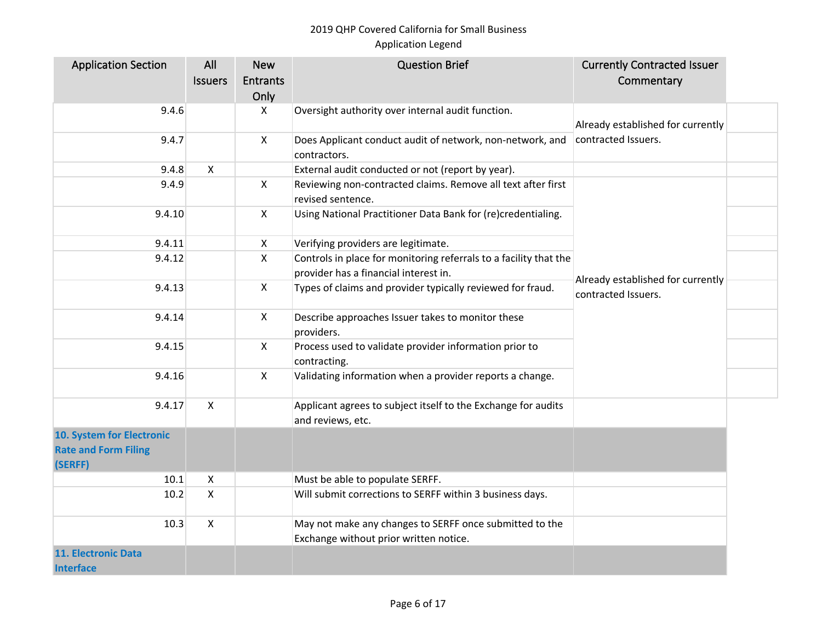| <b>Application Section</b>  | All            | <b>New</b>         | <b>Question Brief</b>                                                              | <b>Currently Contracted Issuer</b>                       |  |
|-----------------------------|----------------|--------------------|------------------------------------------------------------------------------------|----------------------------------------------------------|--|
|                             | <b>Issuers</b> | <b>Entrants</b>    |                                                                                    | Commentary                                               |  |
|                             |                | Only               |                                                                                    |                                                          |  |
| 9.4.6                       |                | X                  | Oversight authority over internal audit function.                                  |                                                          |  |
|                             |                |                    |                                                                                    | Already established for currently                        |  |
| 9.4.7                       |                | $\pmb{\mathsf{X}}$ | Does Applicant conduct audit of network, non-network, and                          | contracted Issuers.                                      |  |
|                             |                |                    | contractors.                                                                       |                                                          |  |
| 9.4.8                       | $\mathsf{X}$   |                    | External audit conducted or not (report by year).                                  |                                                          |  |
| 9.4.9                       |                | X                  | Reviewing non-contracted claims. Remove all text after first                       |                                                          |  |
|                             |                |                    | revised sentence.                                                                  |                                                          |  |
| 9.4.10                      |                | X                  | Using National Practitioner Data Bank for (re)credentialing.                       |                                                          |  |
| 9.4.11                      |                | X                  | Verifying providers are legitimate.                                                |                                                          |  |
| 9.4.12                      |                | X                  | Controls in place for monitoring referrals to a facility that the                  |                                                          |  |
|                             |                |                    | provider has a financial interest in.                                              |                                                          |  |
| 9.4.13                      |                | $\mathsf{X}$       | Types of claims and provider typically reviewed for fraud.                         | Already established for currently<br>contracted Issuers. |  |
| 9.4.14                      |                | X                  | Describe approaches Issuer takes to monitor these<br>providers.                    |                                                          |  |
| 9.4.15                      |                | $\mathsf{X}$       | Process used to validate provider information prior to<br>contracting.             |                                                          |  |
| 9.4.16                      |                | X                  | Validating information when a provider reports a change.                           |                                                          |  |
| 9.4.17                      | $\mathsf{X}$   |                    | Applicant agrees to subject itself to the Exchange for audits<br>and reviews, etc. |                                                          |  |
| 10. System for Electronic   |                |                    |                                                                                    |                                                          |  |
| <b>Rate and Form Filing</b> |                |                    |                                                                                    |                                                          |  |
| (SERFF)                     |                |                    |                                                                                    |                                                          |  |
| 10.1                        | X              |                    | Must be able to populate SERFF.                                                    |                                                          |  |
| 10.2                        | $\mathsf{X}$   |                    | Will submit corrections to SERFF within 3 business days.                           |                                                          |  |
| 10.3                        | $\mathsf{X}$   |                    | May not make any changes to SERFF once submitted to the                            |                                                          |  |
|                             |                |                    | Exchange without prior written notice.                                             |                                                          |  |
| <b>11. Electronic Data</b>  |                |                    |                                                                                    |                                                          |  |
| <b>Interface</b>            |                |                    |                                                                                    |                                                          |  |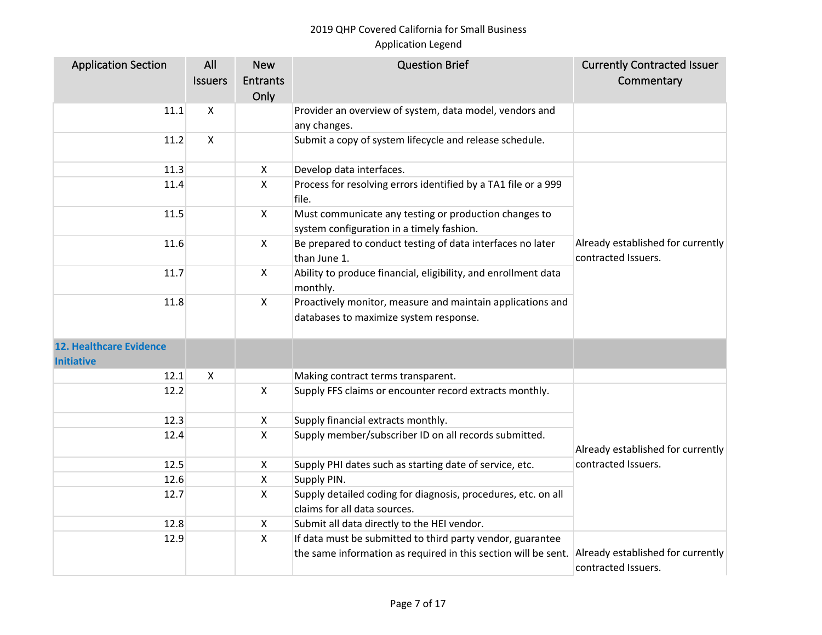| <b>Application Section</b>                          | All                       | <b>New</b>                | <b>Question Brief</b>                                                                                | <b>Currently Contracted Issuer</b>                       |
|-----------------------------------------------------|---------------------------|---------------------------|------------------------------------------------------------------------------------------------------|----------------------------------------------------------|
|                                                     | <b>Issuers</b>            | <b>Entrants</b>           |                                                                                                      | Commentary                                               |
|                                                     |                           | Only                      |                                                                                                      |                                                          |
| 11.1                                                | X                         |                           | Provider an overview of system, data model, vendors and                                              |                                                          |
|                                                     |                           |                           | any changes.                                                                                         |                                                          |
| 11.2                                                | $\boldsymbol{\mathsf{X}}$ |                           | Submit a copy of system lifecycle and release schedule.                                              |                                                          |
| 11.3                                                |                           | X                         | Develop data interfaces.                                                                             |                                                          |
| 11.4                                                |                           | X                         | Process for resolving errors identified by a TA1 file or a 999<br>file.                              |                                                          |
| 11.5                                                |                           | $\mathsf{X}$              | Must communicate any testing or production changes to<br>system configuration in a timely fashion.   |                                                          |
| 11.6                                                |                           | X                         | Be prepared to conduct testing of data interfaces no later<br>than June 1.                           | Already established for currently<br>contracted Issuers. |
| 11.7                                                |                           | X                         | Ability to produce financial, eligibility, and enrollment data<br>monthly.                           |                                                          |
| 11.8                                                |                           | $\mathsf{X}$              | Proactively monitor, measure and maintain applications and<br>databases to maximize system response. |                                                          |
| <b>12. Healthcare Evidence</b><br><b>Initiative</b> |                           |                           |                                                                                                      |                                                          |
| 12.1                                                | X                         |                           | Making contract terms transparent.                                                                   |                                                          |
| 12.2                                                |                           | $\mathsf{X}$              | Supply FFS claims or encounter record extracts monthly.                                              |                                                          |
| 12.3                                                |                           | X                         | Supply financial extracts monthly.                                                                   |                                                          |
| 12.4                                                |                           | $\mathsf{X}$              | Supply member/subscriber ID on all records submitted.                                                | Already established for currently                        |
| 12.5                                                |                           | X                         | Supply PHI dates such as starting date of service, etc.                                              | contracted Issuers.                                      |
| 12.6                                                |                           | X                         | Supply PIN.                                                                                          |                                                          |
| 12.7                                                |                           | $\boldsymbol{\mathsf{X}}$ | Supply detailed coding for diagnosis, procedures, etc. on all<br>claims for all data sources.        |                                                          |
| 12.8                                                |                           | X                         | Submit all data directly to the HEI vendor.                                                          |                                                          |
| 12.9                                                |                           | X                         | If data must be submitted to third party vendor, guarantee                                           |                                                          |
|                                                     |                           |                           | the same information as required in this section will be sent.                                       | Already established for currently<br>contracted Issuers. |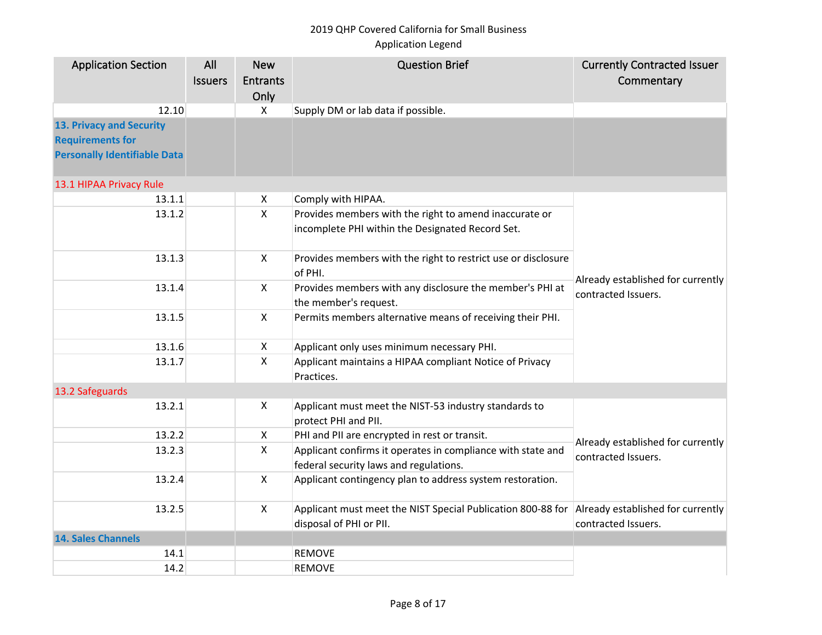| <b>Entrants</b><br>Commentary<br><b>Issuers</b><br>Only<br>12.10<br>X<br>Supply DM or lab data if possible.<br><b>Requirements for</b><br><b>Personally Identifiable Data</b><br>13.1 HIPAA Privacy Rule<br>Comply with HIPAA.<br>13.1.1<br>X<br>$\mathsf{X}$<br>Provides members with the right to amend inaccurate or<br>13.1.2<br>incomplete PHI within the Designated Record Set.<br>X<br>13.1.3<br>Provides members with the right to restrict use or disclosure<br>of PHI.<br>Already established for currently<br>$\mathsf{X}$<br>Provides members with any disclosure the member's PHI at<br>13.1.4<br>contracted Issuers.<br>the member's request.<br>Permits members alternative means of receiving their PHI.<br>13.1.5<br>X<br>13.1.6<br>Applicant only uses minimum necessary PHI.<br>X<br>$\mathsf{X}$<br>13.1.7<br>Applicant maintains a HIPAA compliant Notice of Privacy<br>Practices.<br>13.2 Safeguards<br>13.2.1<br>Applicant must meet the NIST-53 industry standards to<br>X<br>protect PHI and PII.<br>13.2.2<br>PHI and PII are encrypted in rest or transit.<br>$\mathsf{X}$<br>Already established for currently<br>$\mathsf{X}$<br>Applicant confirms it operates in compliance with state and<br>13.2.3<br>contracted Issuers.<br>federal security laws and regulations.<br>13.2.4<br>$\mathsf{X}$<br>Applicant contingency plan to address system restoration.<br>$\mathsf{X}$<br>Applicant must meet the NIST Special Publication 800-88 for<br>Already established for currently<br>13.2.5<br>disposal of PHI or PII.<br>contracted Issuers.<br><b>14. Sales Channels</b> | <b>Application Section</b>      | All | <b>New</b> | <b>Question Brief</b> | <b>Currently Contracted Issuer</b> |
|----------------------------------------------------------------------------------------------------------------------------------------------------------------------------------------------------------------------------------------------------------------------------------------------------------------------------------------------------------------------------------------------------------------------------------------------------------------------------------------------------------------------------------------------------------------------------------------------------------------------------------------------------------------------------------------------------------------------------------------------------------------------------------------------------------------------------------------------------------------------------------------------------------------------------------------------------------------------------------------------------------------------------------------------------------------------------------------------------------------------------------------------------------------------------------------------------------------------------------------------------------------------------------------------------------------------------------------------------------------------------------------------------------------------------------------------------------------------------------------------------------------------------------------------------------------------------------------------------------|---------------------------------|-----|------------|-----------------------|------------------------------------|
|                                                                                                                                                                                                                                                                                                                                                                                                                                                                                                                                                                                                                                                                                                                                                                                                                                                                                                                                                                                                                                                                                                                                                                                                                                                                                                                                                                                                                                                                                                                                                                                                          |                                 |     |            |                       |                                    |
|                                                                                                                                                                                                                                                                                                                                                                                                                                                                                                                                                                                                                                                                                                                                                                                                                                                                                                                                                                                                                                                                                                                                                                                                                                                                                                                                                                                                                                                                                                                                                                                                          |                                 |     |            |                       |                                    |
|                                                                                                                                                                                                                                                                                                                                                                                                                                                                                                                                                                                                                                                                                                                                                                                                                                                                                                                                                                                                                                                                                                                                                                                                                                                                                                                                                                                                                                                                                                                                                                                                          |                                 |     |            |                       |                                    |
|                                                                                                                                                                                                                                                                                                                                                                                                                                                                                                                                                                                                                                                                                                                                                                                                                                                                                                                                                                                                                                                                                                                                                                                                                                                                                                                                                                                                                                                                                                                                                                                                          | <b>13. Privacy and Security</b> |     |            |                       |                                    |
|                                                                                                                                                                                                                                                                                                                                                                                                                                                                                                                                                                                                                                                                                                                                                                                                                                                                                                                                                                                                                                                                                                                                                                                                                                                                                                                                                                                                                                                                                                                                                                                                          |                                 |     |            |                       |                                    |
|                                                                                                                                                                                                                                                                                                                                                                                                                                                                                                                                                                                                                                                                                                                                                                                                                                                                                                                                                                                                                                                                                                                                                                                                                                                                                                                                                                                                                                                                                                                                                                                                          |                                 |     |            |                       |                                    |
|                                                                                                                                                                                                                                                                                                                                                                                                                                                                                                                                                                                                                                                                                                                                                                                                                                                                                                                                                                                                                                                                                                                                                                                                                                                                                                                                                                                                                                                                                                                                                                                                          |                                 |     |            |                       |                                    |
|                                                                                                                                                                                                                                                                                                                                                                                                                                                                                                                                                                                                                                                                                                                                                                                                                                                                                                                                                                                                                                                                                                                                                                                                                                                                                                                                                                                                                                                                                                                                                                                                          |                                 |     |            |                       |                                    |
|                                                                                                                                                                                                                                                                                                                                                                                                                                                                                                                                                                                                                                                                                                                                                                                                                                                                                                                                                                                                                                                                                                                                                                                                                                                                                                                                                                                                                                                                                                                                                                                                          |                                 |     |            |                       |                                    |
|                                                                                                                                                                                                                                                                                                                                                                                                                                                                                                                                                                                                                                                                                                                                                                                                                                                                                                                                                                                                                                                                                                                                                                                                                                                                                                                                                                                                                                                                                                                                                                                                          |                                 |     |            |                       |                                    |
|                                                                                                                                                                                                                                                                                                                                                                                                                                                                                                                                                                                                                                                                                                                                                                                                                                                                                                                                                                                                                                                                                                                                                                                                                                                                                                                                                                                                                                                                                                                                                                                                          |                                 |     |            |                       |                                    |
|                                                                                                                                                                                                                                                                                                                                                                                                                                                                                                                                                                                                                                                                                                                                                                                                                                                                                                                                                                                                                                                                                                                                                                                                                                                                                                                                                                                                                                                                                                                                                                                                          |                                 |     |            |                       |                                    |
|                                                                                                                                                                                                                                                                                                                                                                                                                                                                                                                                                                                                                                                                                                                                                                                                                                                                                                                                                                                                                                                                                                                                                                                                                                                                                                                                                                                                                                                                                                                                                                                                          |                                 |     |            |                       |                                    |
|                                                                                                                                                                                                                                                                                                                                                                                                                                                                                                                                                                                                                                                                                                                                                                                                                                                                                                                                                                                                                                                                                                                                                                                                                                                                                                                                                                                                                                                                                                                                                                                                          |                                 |     |            |                       |                                    |
|                                                                                                                                                                                                                                                                                                                                                                                                                                                                                                                                                                                                                                                                                                                                                                                                                                                                                                                                                                                                                                                                                                                                                                                                                                                                                                                                                                                                                                                                                                                                                                                                          |                                 |     |            |                       |                                    |
|                                                                                                                                                                                                                                                                                                                                                                                                                                                                                                                                                                                                                                                                                                                                                                                                                                                                                                                                                                                                                                                                                                                                                                                                                                                                                                                                                                                                                                                                                                                                                                                                          |                                 |     |            |                       |                                    |
|                                                                                                                                                                                                                                                                                                                                                                                                                                                                                                                                                                                                                                                                                                                                                                                                                                                                                                                                                                                                                                                                                                                                                                                                                                                                                                                                                                                                                                                                                                                                                                                                          |                                 |     |            |                       |                                    |
|                                                                                                                                                                                                                                                                                                                                                                                                                                                                                                                                                                                                                                                                                                                                                                                                                                                                                                                                                                                                                                                                                                                                                                                                                                                                                                                                                                                                                                                                                                                                                                                                          |                                 |     |            |                       |                                    |
|                                                                                                                                                                                                                                                                                                                                                                                                                                                                                                                                                                                                                                                                                                                                                                                                                                                                                                                                                                                                                                                                                                                                                                                                                                                                                                                                                                                                                                                                                                                                                                                                          |                                 |     |            |                       |                                    |
|                                                                                                                                                                                                                                                                                                                                                                                                                                                                                                                                                                                                                                                                                                                                                                                                                                                                                                                                                                                                                                                                                                                                                                                                                                                                                                                                                                                                                                                                                                                                                                                                          |                                 |     |            |                       |                                    |
|                                                                                                                                                                                                                                                                                                                                                                                                                                                                                                                                                                                                                                                                                                                                                                                                                                                                                                                                                                                                                                                                                                                                                                                                                                                                                                                                                                                                                                                                                                                                                                                                          |                                 |     |            |                       |                                    |
| 14.1<br><b>REMOVE</b>                                                                                                                                                                                                                                                                                                                                                                                                                                                                                                                                                                                                                                                                                                                                                                                                                                                                                                                                                                                                                                                                                                                                                                                                                                                                                                                                                                                                                                                                                                                                                                                    |                                 |     |            |                       |                                    |
| 14.2<br><b>REMOVE</b>                                                                                                                                                                                                                                                                                                                                                                                                                                                                                                                                                                                                                                                                                                                                                                                                                                                                                                                                                                                                                                                                                                                                                                                                                                                                                                                                                                                                                                                                                                                                                                                    |                                 |     |            |                       |                                    |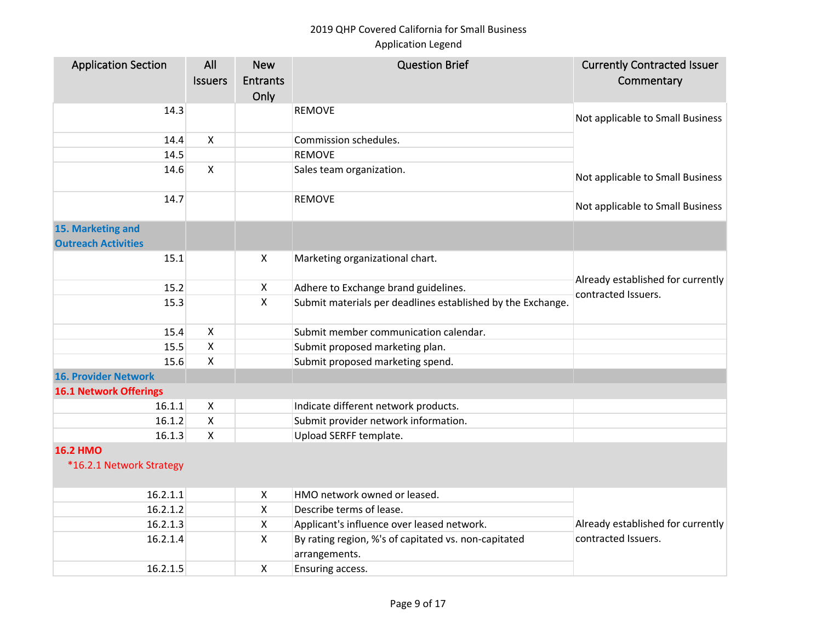| <b>Application Section</b>    | All                       | <b>New</b>      | <b>Question Brief</b>                                                 | <b>Currently Contracted Issuer</b>                       |
|-------------------------------|---------------------------|-----------------|-----------------------------------------------------------------------|----------------------------------------------------------|
|                               | <b>Issuers</b>            | <b>Entrants</b> |                                                                       | Commentary                                               |
|                               |                           | Only            |                                                                       |                                                          |
| 14.3                          |                           |                 | <b>REMOVE</b>                                                         |                                                          |
|                               |                           |                 |                                                                       | Not applicable to Small Business                         |
| 14.4                          | $\pmb{\times}$            |                 | Commission schedules.                                                 |                                                          |
| 14.5                          |                           |                 | <b>REMOVE</b>                                                         |                                                          |
| 14.6                          | $\mathsf{X}$              |                 | Sales team organization.                                              | Not applicable to Small Business                         |
| 14.7                          |                           |                 | <b>REMOVE</b>                                                         | Not applicable to Small Business                         |
| 15. Marketing and             |                           |                 |                                                                       |                                                          |
| <b>Outreach Activities</b>    |                           |                 |                                                                       |                                                          |
| 15.1                          |                           | X               | Marketing organizational chart.                                       |                                                          |
|                               |                           |                 |                                                                       |                                                          |
| 15.2                          |                           | X               | Adhere to Exchange brand guidelines.                                  | Already established for currently<br>contracted Issuers. |
| 15.3                          |                           | $\mathsf{X}$    | Submit materials per deadlines established by the Exchange.           |                                                          |
|                               |                           |                 |                                                                       |                                                          |
| 15.4                          | X                         |                 | Submit member communication calendar.                                 |                                                          |
| 15.5                          | $\boldsymbol{\mathsf{X}}$ |                 | Submit proposed marketing plan.                                       |                                                          |
| 15.6                          | $\boldsymbol{\mathsf{X}}$ |                 | Submit proposed marketing spend.                                      |                                                          |
| <b>16. Provider Network</b>   |                           |                 |                                                                       |                                                          |
| <b>16.1 Network Offerings</b> |                           |                 |                                                                       |                                                          |
| 16.1.1                        | $\boldsymbol{\mathsf{X}}$ |                 | Indicate different network products.                                  |                                                          |
| 16.1.2                        | X                         |                 | Submit provider network information.                                  |                                                          |
| 16.1.3                        | $\boldsymbol{\mathsf{X}}$ |                 | Upload SERFF template.                                                |                                                          |
| <b>16.2 HMO</b>               |                           |                 |                                                                       |                                                          |
| *16.2.1 Network Strategy      |                           |                 |                                                                       |                                                          |
| 16.2.1.1                      |                           | X               | HMO network owned or leased.                                          |                                                          |
| 16.2.1.2                      |                           | X               | Describe terms of lease.                                              |                                                          |
| 16.2.1.3                      |                           | X               | Applicant's influence over leased network.                            | Already established for currently                        |
| 16.2.1.4                      |                           | X               | By rating region, %'s of capitated vs. non-capitated<br>arrangements. | contracted Issuers.                                      |
| 16.2.1.5                      |                           | X               | Ensuring access.                                                      |                                                          |
|                               |                           |                 |                                                                       |                                                          |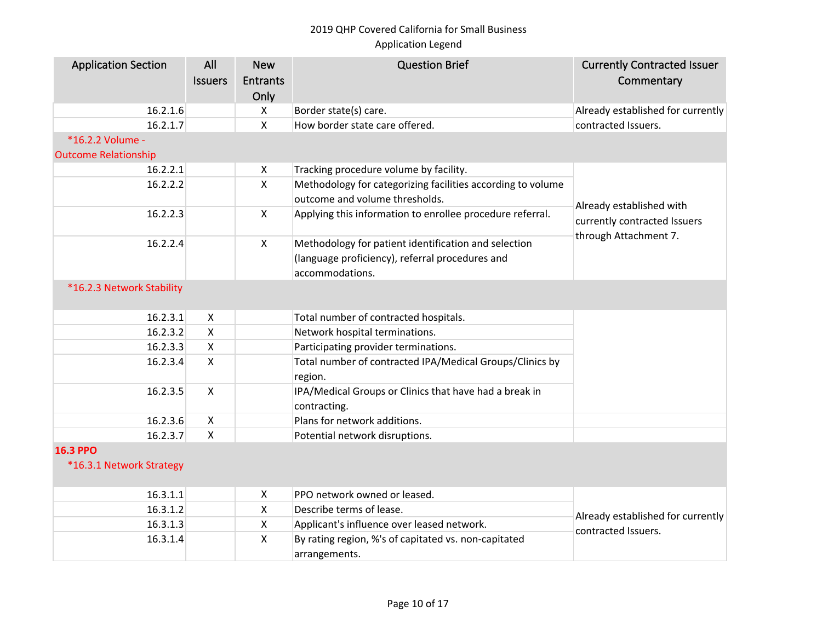| <b>Application Section</b>  | All<br><b>Issuers</b> | <b>New</b><br><b>Entrants</b><br>Only | <b>Question Brief</b>                                                  | <b>Currently Contracted Issuer</b><br>Commentary |
|-----------------------------|-----------------------|---------------------------------------|------------------------------------------------------------------------|--------------------------------------------------|
| 16.2.1.6                    |                       | X                                     | Border state(s) care.                                                  | Already established for currently                |
| 16.2.1.7                    |                       | $\mathsf{X}$                          | How border state care offered.                                         | contracted Issuers.                              |
| *16.2.2 Volume -            |                       |                                       |                                                                        |                                                  |
| <b>Outcome Relationship</b> |                       |                                       |                                                                        |                                                  |
| 16.2.2.1                    |                       | X                                     | Tracking procedure volume by facility.                                 |                                                  |
| 16.2.2.2                    |                       | $\mathsf{X}$                          | Methodology for categorizing facilities according to volume            |                                                  |
|                             |                       |                                       | outcome and volume thresholds.                                         | Already established with                         |
| 16.2.2.3                    |                       | $\mathsf{X}$                          | Applying this information to enrollee procedure referral.              | currently contracted Issuers                     |
| 16.2.2.4                    |                       | $\mathsf{X}$                          | Methodology for patient identification and selection                   | through Attachment 7.                            |
|                             |                       |                                       | (language proficiency), referral procedures and                        |                                                  |
|                             |                       |                                       | accommodations.                                                        |                                                  |
| *16.2.3 Network Stability   |                       |                                       |                                                                        |                                                  |
| 16.2.3.1                    | X                     |                                       | Total number of contracted hospitals.                                  |                                                  |
| 16.2.3.2                    | $\mathsf{X}$          |                                       | Network hospital terminations.                                         |                                                  |
| 16.2.3.3                    | X                     |                                       | Participating provider terminations.                                   |                                                  |
| 16.2.3.4                    | X                     |                                       | Total number of contracted IPA/Medical Groups/Clinics by<br>region.    |                                                  |
| 16.2.3.5                    | $\mathsf{X}$          |                                       | IPA/Medical Groups or Clinics that have had a break in<br>contracting. |                                                  |
| 16.2.3.6                    | X                     |                                       | Plans for network additions.                                           |                                                  |
| 16.2.3.7                    | $\mathsf{X}$          |                                       | Potential network disruptions.                                         |                                                  |
| <b>16.3 PPO</b>             |                       |                                       |                                                                        |                                                  |
| *16.3.1 Network Strategy    |                       |                                       |                                                                        |                                                  |
| 16.3.1.1                    |                       | X                                     | PPO network owned or leased.                                           |                                                  |
| 16.3.1.2                    |                       | X                                     | Describe terms of lease.                                               | Already established for currently                |
| 16.3.1.3                    |                       | X                                     | Applicant's influence over leased network.                             |                                                  |
| 16.3.1.4                    |                       | $\mathsf{X}$                          | By rating region, %'s of capitated vs. non-capitated<br>arrangements.  | contracted Issuers.                              |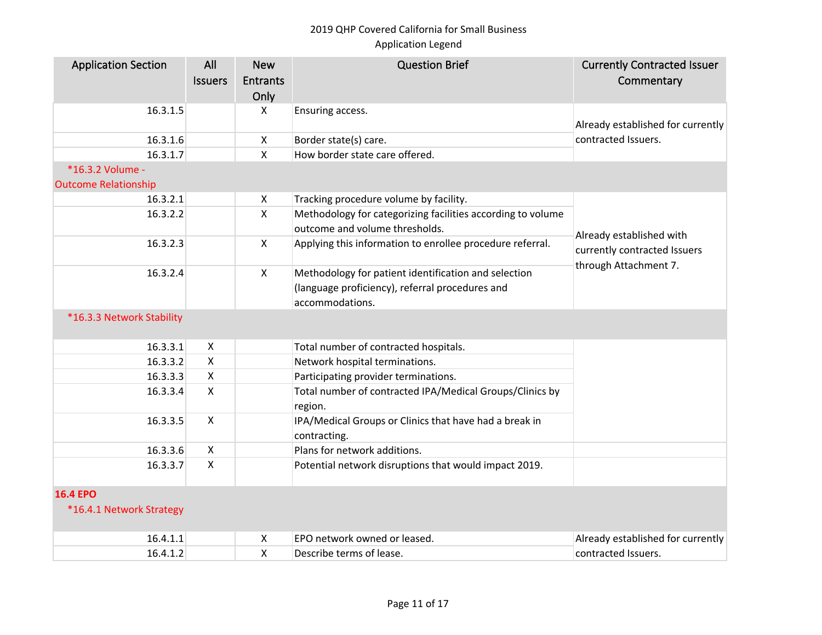| <b>Application Section</b>                      | All<br><b>Issuers</b> | <b>New</b><br><b>Entrants</b><br>Only | <b>Question Brief</b>                                                  | <b>Currently Contracted Issuer</b><br>Commentary      |
|-------------------------------------------------|-----------------------|---------------------------------------|------------------------------------------------------------------------|-------------------------------------------------------|
| 16.3.1.5                                        |                       | X                                     | Ensuring access.                                                       | Already established for currently                     |
| 16.3.1.6                                        |                       | $\boldsymbol{\mathsf{X}}$             | Border state(s) care.                                                  | contracted Issuers.                                   |
| 16.3.1.7                                        |                       | $\pmb{\mathsf{X}}$                    | How border state care offered.                                         |                                                       |
| *16.3.2 Volume -<br><b>Outcome Relationship</b> |                       |                                       |                                                                        |                                                       |
| 16.3.2.1                                        |                       | X                                     | Tracking procedure volume by facility.                                 |                                                       |
| 16.3.2.2                                        |                       | $\mathsf{X}$                          | Methodology for categorizing facilities according to volume            |                                                       |
|                                                 |                       |                                       | outcome and volume thresholds.                                         | Already established with                              |
| 16.3.2.3                                        |                       | $\boldsymbol{\mathsf{X}}$             | Applying this information to enrollee procedure referral.              | currently contracted Issuers<br>through Attachment 7. |
| 16.3.2.4                                        |                       | $\mathsf{X}$                          | Methodology for patient identification and selection                   |                                                       |
|                                                 |                       |                                       | (language proficiency), referral procedures and                        |                                                       |
|                                                 |                       |                                       | accommodations.                                                        |                                                       |
| *16.3.3 Network Stability                       |                       |                                       |                                                                        |                                                       |
| 16.3.3.1                                        | X                     |                                       | Total number of contracted hospitals.                                  |                                                       |
| 16.3.3.2                                        | X                     |                                       | Network hospital terminations.                                         |                                                       |
| 16.3.3.3                                        | X                     |                                       | Participating provider terminations.                                   |                                                       |
| 16.3.3.4                                        | X                     |                                       | Total number of contracted IPA/Medical Groups/Clinics by<br>region.    |                                                       |
| 16.3.3.5                                        | X                     |                                       | IPA/Medical Groups or Clinics that have had a break in<br>contracting. |                                                       |
| 16.3.3.6                                        | X                     |                                       | Plans for network additions.                                           |                                                       |
| 16.3.3.7                                        | X                     |                                       | Potential network disruptions that would impact 2019.                  |                                                       |
| <b>16.4 EPO</b>                                 |                       |                                       |                                                                        |                                                       |
| *16.4.1 Network Strategy                        |                       |                                       |                                                                        |                                                       |
| 16.4.1.1                                        |                       | X                                     | EPO network owned or leased.                                           | Already established for currently                     |
| 16.4.1.2                                        |                       | X                                     | Describe terms of lease.                                               | contracted Issuers.                                   |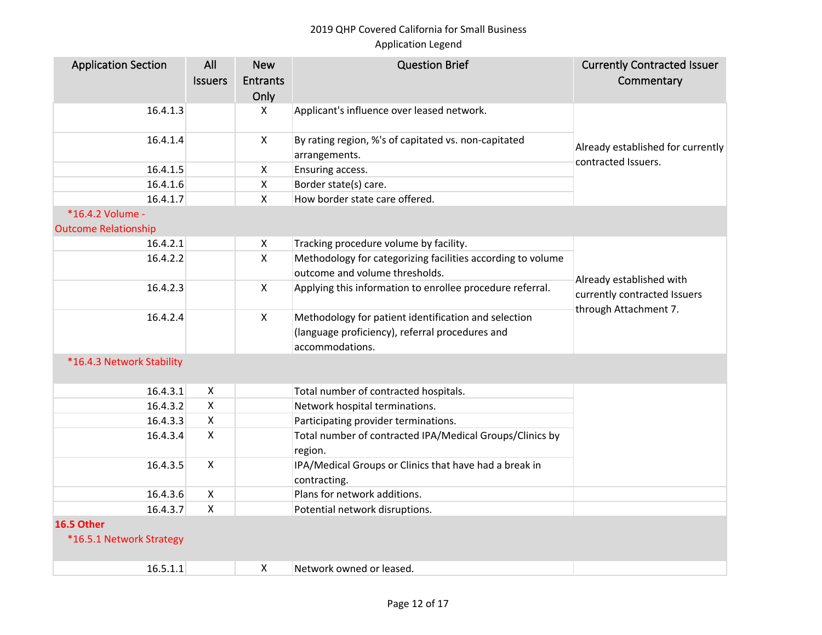| <b>Application Section</b>             | All<br><b>Issuers</b>     | <b>New</b><br><b>Entrants</b><br>Only | <b>Question Brief</b>                                                  | <b>Currently Contracted Issuer</b><br>Commentary                                  |
|----------------------------------------|---------------------------|---------------------------------------|------------------------------------------------------------------------|-----------------------------------------------------------------------------------|
| 16.4.1.3                               |                           | X                                     | Applicant's influence over leased network.                             |                                                                                   |
| 16.4.1.4                               |                           | X                                     | By rating region, %'s of capitated vs. non-capitated<br>arrangements.  | Already established for currently                                                 |
| 16.4.1.5                               |                           | X                                     | Ensuring access.                                                       | contracted Issuers.                                                               |
| 16.4.1.6                               |                           | $\mathsf{X}$                          | Border state(s) care.                                                  |                                                                                   |
| 16.4.1.7                               |                           | $\mathsf{X}$                          | How border state care offered.                                         |                                                                                   |
| *16.4.2 Volume -                       |                           |                                       |                                                                        |                                                                                   |
| <b>Outcome Relationship</b>            |                           |                                       |                                                                        |                                                                                   |
| 16.4.2.1                               |                           | X                                     | Tracking procedure volume by facility.                                 |                                                                                   |
| 16.4.2.2                               |                           | Χ                                     | Methodology for categorizing facilities according to volume            |                                                                                   |
|                                        |                           |                                       | outcome and volume thresholds.                                         |                                                                                   |
| 16.4.2.3                               |                           | $\mathsf{X}$                          | Applying this information to enrollee procedure referral.              | Already established with<br>currently contracted Issuers<br>through Attachment 7. |
| 16.4.2.4                               |                           | $\mathsf{X}$                          | Methodology for patient identification and selection                   |                                                                                   |
|                                        |                           |                                       | (language proficiency), referral procedures and<br>accommodations.     |                                                                                   |
| *16.4.3 Network Stability              |                           |                                       |                                                                        |                                                                                   |
| 16.4.3.1                               | X                         |                                       | Total number of contracted hospitals.                                  |                                                                                   |
| 16.4.3.2                               | X                         |                                       | Network hospital terminations.                                         |                                                                                   |
| 16.4.3.3                               | X                         |                                       | Participating provider terminations.                                   |                                                                                   |
| 16.4.3.4                               | X                         |                                       | Total number of contracted IPA/Medical Groups/Clinics by<br>region.    |                                                                                   |
| 16.4.3.5                               | $\mathsf{X}$              |                                       | IPA/Medical Groups or Clinics that have had a break in<br>contracting. |                                                                                   |
| 16.4.3.6                               | X                         |                                       | Plans for network additions.                                           |                                                                                   |
| 16.4.3.7                               | $\boldsymbol{\mathsf{X}}$ |                                       | Potential network disruptions.                                         |                                                                                   |
| 16.5 Other<br>*16.5.1 Network Strategy |                           |                                       |                                                                        |                                                                                   |
| 16.5.1.1                               |                           | X                                     | Network owned or leased.                                               |                                                                                   |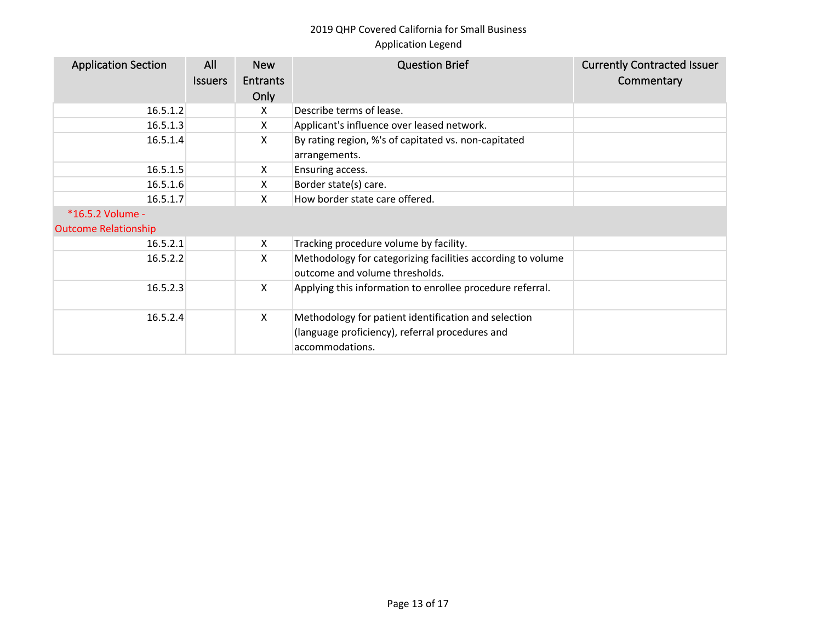| <b>Application Section</b>  | All<br><b>Issuers</b> | <b>New</b><br><b>Entrants</b><br>Only | <b>Question Brief</b>                                                                                                      | <b>Currently Contracted Issuer</b><br>Commentary |
|-----------------------------|-----------------------|---------------------------------------|----------------------------------------------------------------------------------------------------------------------------|--------------------------------------------------|
| 16.5.1.2                    |                       | X                                     | Describe terms of lease.                                                                                                   |                                                  |
| 16.5.1.3                    |                       | X                                     | Applicant's influence over leased network.                                                                                 |                                                  |
| 16.5.1.4                    |                       | X                                     | By rating region, %'s of capitated vs. non-capitated<br>arrangements.                                                      |                                                  |
| 16.5.1.5                    |                       | X                                     | Ensuring access.                                                                                                           |                                                  |
| 16.5.1.6                    |                       | X                                     | Border state(s) care.                                                                                                      |                                                  |
| 16.5.1.7                    |                       | X                                     | How border state care offered.                                                                                             |                                                  |
| *16.5.2 Volume -            |                       |                                       |                                                                                                                            |                                                  |
| <b>Outcome Relationship</b> |                       |                                       |                                                                                                                            |                                                  |
| 16.5.2.1                    |                       | X                                     | Tracking procedure volume by facility.                                                                                     |                                                  |
| 16.5.2.2                    |                       | X                                     | Methodology for categorizing facilities according to volume<br>outcome and volume thresholds.                              |                                                  |
| 16.5.2.3                    |                       | X                                     | Applying this information to enrollee procedure referral.                                                                  |                                                  |
| 16.5.2.4                    |                       | X                                     | Methodology for patient identification and selection<br>(language proficiency), referral procedures and<br>accommodations. |                                                  |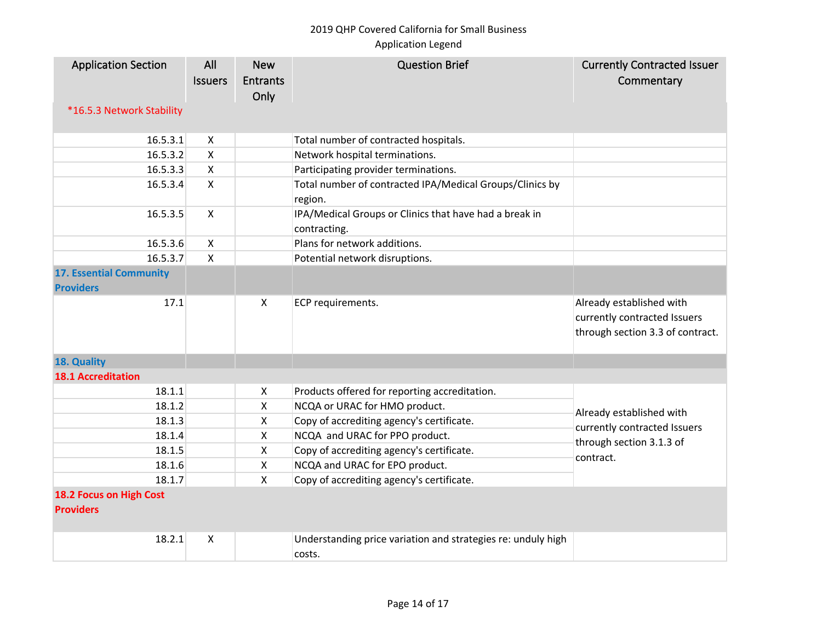| <b>Application Section</b><br>*16.5.3 Network Stability | All<br><b>Issuers</b> | <b>New</b><br><b>Entrants</b><br>Only | <b>Question Brief</b>                                                                            | <b>Currently Contracted Issuer</b><br>Commentary                                             |
|---------------------------------------------------------|-----------------------|---------------------------------------|--------------------------------------------------------------------------------------------------|----------------------------------------------------------------------------------------------|
|                                                         |                       |                                       |                                                                                                  |                                                                                              |
| 16.5.3.1                                                | X                     |                                       | Total number of contracted hospitals.                                                            |                                                                                              |
| 16.5.3.2                                                | X<br>$\mathsf{X}$     |                                       | Network hospital terminations.                                                                   |                                                                                              |
| 16.5.3.3<br>16.5.3.4                                    | $\mathsf{X}$          |                                       | Participating provider terminations.<br>Total number of contracted IPA/Medical Groups/Clinics by |                                                                                              |
| 16.5.3.5                                                | $\mathsf{X}$          |                                       | region.<br>IPA/Medical Groups or Clinics that have had a break in<br>contracting.                |                                                                                              |
| 16.5.3.6                                                | X                     |                                       | Plans for network additions.                                                                     |                                                                                              |
| 16.5.3.7                                                | $\pmb{\times}$        |                                       | Potential network disruptions.                                                                   |                                                                                              |
| <b>17. Essential Community</b><br><b>Providers</b>      |                       |                                       |                                                                                                  |                                                                                              |
| 17.1                                                    |                       | X                                     | ECP requirements.                                                                                | Already established with<br>currently contracted Issuers<br>through section 3.3 of contract. |
| 18. Quality                                             |                       |                                       |                                                                                                  |                                                                                              |
| <b>18.1 Accreditation</b>                               |                       |                                       |                                                                                                  |                                                                                              |
| 18.1.1                                                  |                       | X                                     | Products offered for reporting accreditation.                                                    |                                                                                              |
| 18.1.2                                                  |                       | X                                     | NCQA or URAC for HMO product.                                                                    |                                                                                              |
| 18.1.3                                                  |                       | X                                     | Copy of accrediting agency's certificate.                                                        | Already established with                                                                     |
| 18.1.4                                                  |                       | $\mathsf{X}$                          | NCQA and URAC for PPO product.                                                                   | currently contracted Issuers<br>through section 3.1.3 of<br>contract.                        |
| 18.1.5                                                  |                       | $\mathsf{X}$                          | Copy of accrediting agency's certificate.                                                        |                                                                                              |
| 18.1.6                                                  |                       | X                                     | NCQA and URAC for EPO product.                                                                   |                                                                                              |
| 18.1.7                                                  |                       | $\mathsf{X}$                          | Copy of accrediting agency's certificate.                                                        |                                                                                              |
| 18.2 Focus on High Cost<br><b>Providers</b>             |                       |                                       |                                                                                                  |                                                                                              |
| 18.2.1                                                  | $\boldsymbol{X}$      |                                       | Understanding price variation and strategies re: unduly high<br>costs.                           |                                                                                              |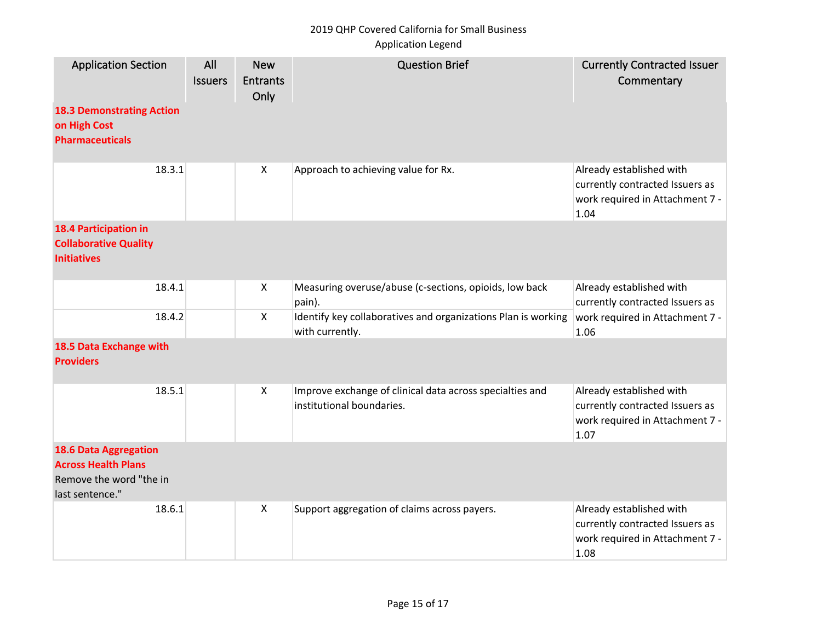# 2019 QHP Covered California for Small Business

## Application Legend

| <b>Application Section</b><br><b>18.3 Demonstrating Action</b><br>on High Cost<br><b>Pharmaceuticals</b> | All<br><b>Issuers</b> | <b>New</b><br><b>Entrants</b><br>Only | <b>Question Brief</b>                                                                 | <b>Currently Contracted Issuer</b><br>Commentary                                                       |
|----------------------------------------------------------------------------------------------------------|-----------------------|---------------------------------------|---------------------------------------------------------------------------------------|--------------------------------------------------------------------------------------------------------|
| 18.3.1                                                                                                   |                       | $\boldsymbol{\mathsf{X}}$             | Approach to achieving value for Rx.                                                   | Already established with<br>currently contracted Issuers as<br>work required in Attachment 7 -<br>1.04 |
| <b>18.4 Participation in</b><br><b>Collaborative Quality</b><br><b>Initiatives</b>                       |                       |                                       |                                                                                       |                                                                                                        |
| 18.4.1                                                                                                   |                       | X                                     | Measuring overuse/abuse (c-sections, opioids, low back<br>pain).                      | Already established with<br>currently contracted Issuers as                                            |
| 18.4.2                                                                                                   |                       | $\mathsf{X}$                          | Identify key collaboratives and organizations Plan is working<br>with currently.      | work required in Attachment 7 -<br>1.06                                                                |
| 18.5 Data Exchange with<br><b>Providers</b>                                                              |                       |                                       |                                                                                       |                                                                                                        |
| 18.5.1                                                                                                   |                       | $\mathsf{X}$                          | Improve exchange of clinical data across specialties and<br>institutional boundaries. | Already established with<br>currently contracted Issuers as<br>work required in Attachment 7 -<br>1.07 |
| <b>18.6 Data Aggregation</b><br><b>Across Health Plans</b><br>Remove the word "the in<br>last sentence." |                       |                                       |                                                                                       |                                                                                                        |
| 18.6.1                                                                                                   |                       | X                                     | Support aggregation of claims across payers.                                          | Already established with<br>currently contracted Issuers as<br>work required in Attachment 7 -<br>1.08 |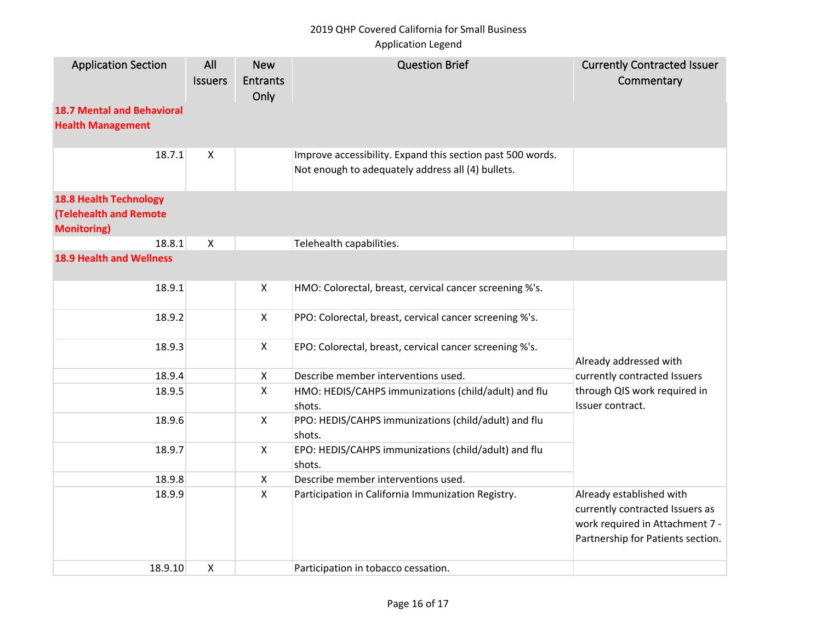# 2019 QHP Covered California for Small Business

## Application Legend

| <b>Application Section</b>                                                           | All<br><b>Issuers</b>     | <b>New</b><br><b>Entrants</b><br>Only | <b>Question Brief</b>                                                                                           | <b>Currently Contracted Issuer</b><br>Commentary                                                                                    |
|--------------------------------------------------------------------------------------|---------------------------|---------------------------------------|-----------------------------------------------------------------------------------------------------------------|-------------------------------------------------------------------------------------------------------------------------------------|
| <b>18.7 Mental and Behavioral</b><br><b>Health Management</b>                        |                           |                                       |                                                                                                                 |                                                                                                                                     |
| 18.7.1                                                                               | $\boldsymbol{\mathsf{X}}$ |                                       | Improve accessibility. Expand this section past 500 words.<br>Not enough to adequately address all (4) bullets. |                                                                                                                                     |
| <b>18.8 Health Technology</b><br><b>(Telehealth and Remote</b><br><b>Monitoring)</b> |                           |                                       |                                                                                                                 |                                                                                                                                     |
| 18.8.1                                                                               | $\boldsymbol{\mathsf{X}}$ |                                       | Telehealth capabilities.                                                                                        |                                                                                                                                     |
| <b>18.9 Health and Wellness</b>                                                      |                           |                                       |                                                                                                                 |                                                                                                                                     |
| 18.9.1                                                                               |                           | X                                     | HMO: Colorectal, breast, cervical cancer screening %'s.                                                         |                                                                                                                                     |
| 18.9.2                                                                               |                           | $\pmb{\times}$                        | PPO: Colorectal, breast, cervical cancer screening %'s.                                                         |                                                                                                                                     |
| 18.9.3                                                                               |                           | $\mathsf{X}$                          | EPO: Colorectal, breast, cervical cancer screening %'s.                                                         | Already addressed with                                                                                                              |
| 18.9.4                                                                               |                           | X                                     | Describe member interventions used.                                                                             | currently contracted Issuers                                                                                                        |
| 18.9.5                                                                               |                           | $\pmb{\times}$                        | HMO: HEDIS/CAHPS immunizations (child/adult) and flu<br>shots.                                                  | through QIS work required in<br>Issuer contract.                                                                                    |
| 18.9.6                                                                               |                           | $\mathsf{X}$                          | PPO: HEDIS/CAHPS immunizations (child/adult) and flu<br>shots.                                                  |                                                                                                                                     |
| 18.9.7                                                                               |                           | $\boldsymbol{X}$                      | EPO: HEDIS/CAHPS immunizations (child/adult) and flu<br>shots.                                                  |                                                                                                                                     |
| 18.9.8                                                                               |                           | X                                     | Describe member interventions used.                                                                             |                                                                                                                                     |
| 18.9.9                                                                               |                           | $\mathsf{X}$                          | Participation in California Immunization Registry.                                                              | Already established with<br>currently contracted Issuers as<br>work required in Attachment 7 -<br>Partnership for Patients section. |
| 18.9.10                                                                              | $\boldsymbol{\mathsf{X}}$ |                                       | Participation in tobacco cessation.                                                                             |                                                                                                                                     |